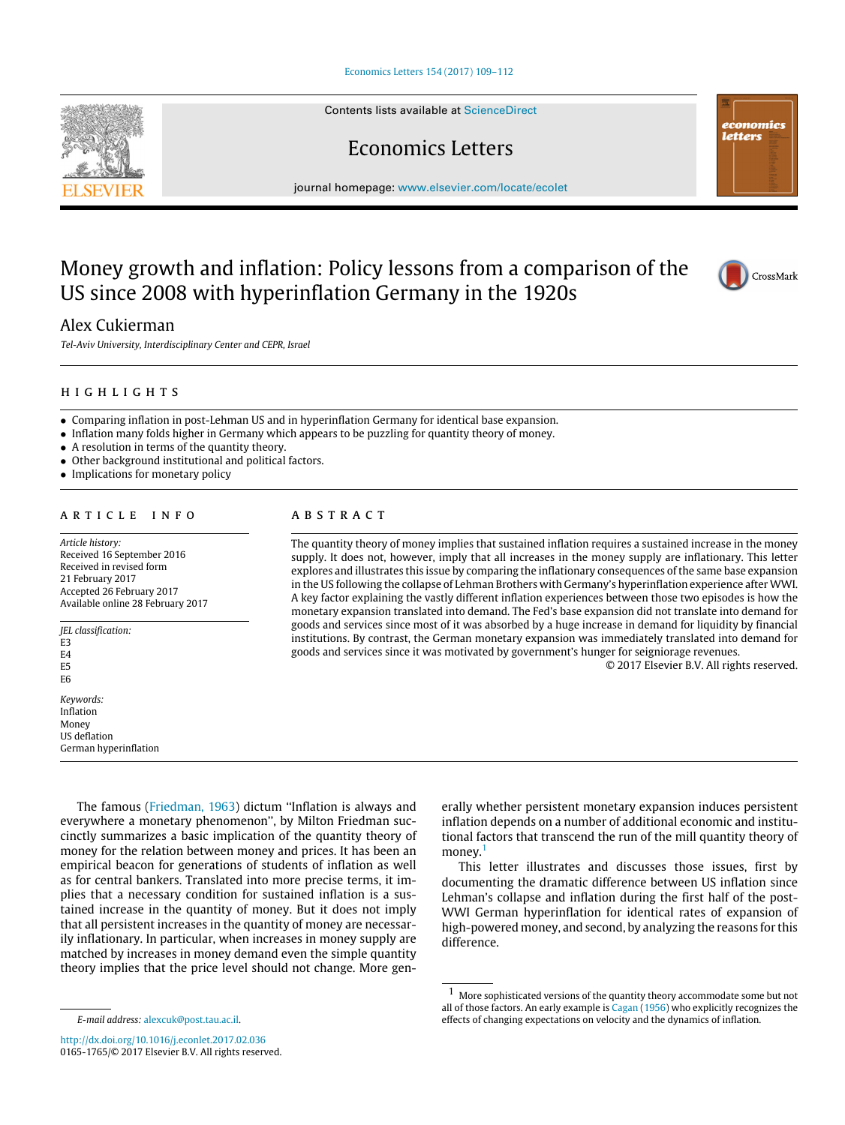#### [Economics Letters 154 \(2017\) 109–112](http://dx.doi.org/10.1016/j.econlet.2017.02.036)

Contents lists available at [ScienceDirect](http://www.elsevier.com/locate/ecolet)

Economics Letters

journal homepage: [www.elsevier.com/locate/ecolet](http://www.elsevier.com/locate/ecolet)

# Money growth and inflation: Policy lessons from a comparison of the US since 2008 with hyperinflation Germany in the 1920s



*Tel-Aviv University, Interdisciplinary Center and CEPR, Israel*



economics letters

## h i g h l i g h t s

- Comparing inflation in post-Lehman US and in hyperinflation Germany for identical base expansion.
- Inflation many folds higher in Germany which appears to be puzzling for quantity theory of money.
- A resolution in terms of the quantity theory.
- Other background institutional and political factors.
- Implications for monetary policy

## ARTICLE INFO

*Article history:* Received 16 September 2016 Received in revised form 21 February 2017 Accepted 26 February 2017 Available online 28 February 2017

*JEL classification:* E3 E4 E5 E6 *Keywords:*

Inflation Money US deflation German hyperinflation

# A B S T R A C T

The quantity theory of money implies that sustained inflation requires a sustained increase in the money supply. It does not, however, imply that all increases in the money supply are inflationary. This letter explores and illustrates this issue by comparing the inflationary consequences of the same base expansion in the US following the collapse of Lehman Brothers with Germany's hyperinflation experience after WWI. A key factor explaining the vastly different inflation experiences between those two episodes is how the monetary expansion translated into demand. The Fed's base expansion did not translate into demand for goods and services since most of it was absorbed by a huge increase in demand for liquidity by financial institutions. By contrast, the German monetary expansion was immediately translated into demand for goods and services since it was motivated by government's hunger for seigniorage revenues.

© 2017 Elsevier B.V. All rights reserved.

The famous [\(Friedman,](#page-3-0) [1963\)](#page-3-0) dictum ''Inflation is always and everywhere a monetary phenomenon'', by Milton Friedman succinctly summarizes a basic implication of the quantity theory of money for the relation between money and prices. It has been an empirical beacon for generations of students of inflation as well as for central bankers. Translated into more precise terms, it implies that a necessary condition for sustained inflation is a sustained increase in the quantity of money. But it does not imply that all persistent increases in the quantity of money are necessarily inflationary. In particular, when increases in money supply are matched by increases in money demand even the simple quantity theory implies that the price level should not change. More generally whether persistent monetary expansion induces persistent inflation depends on a number of additional economic and institutional factors that transcend the run of the mill quantity theory of money.<sup>[1](#page-0-0)</sup>

This letter illustrates and discusses those issues, first by documenting the dramatic difference between US inflation since Lehman's collapse and inflation during the first half of the post-WWI German hyperinflation for identical rates of expansion of high-powered money, and second, by analyzing the reasons for this difference.

<span id="page-0-1"></span>

*E-mail address:* [alexcuk@post.tau.ac.il.](mailto:alexcuk@post.tau.ac.il)

<span id="page-0-0"></span><sup>&</sup>lt;sup>1</sup> More sophisticated versions of the quantity theory accommodate some but not all of those factors. An early example is [Cagan](#page-3-1) [\(1956\)](#page-3-1) who explicitly recognizes the effects of changing expectations on velocity and the dynamics of inflation.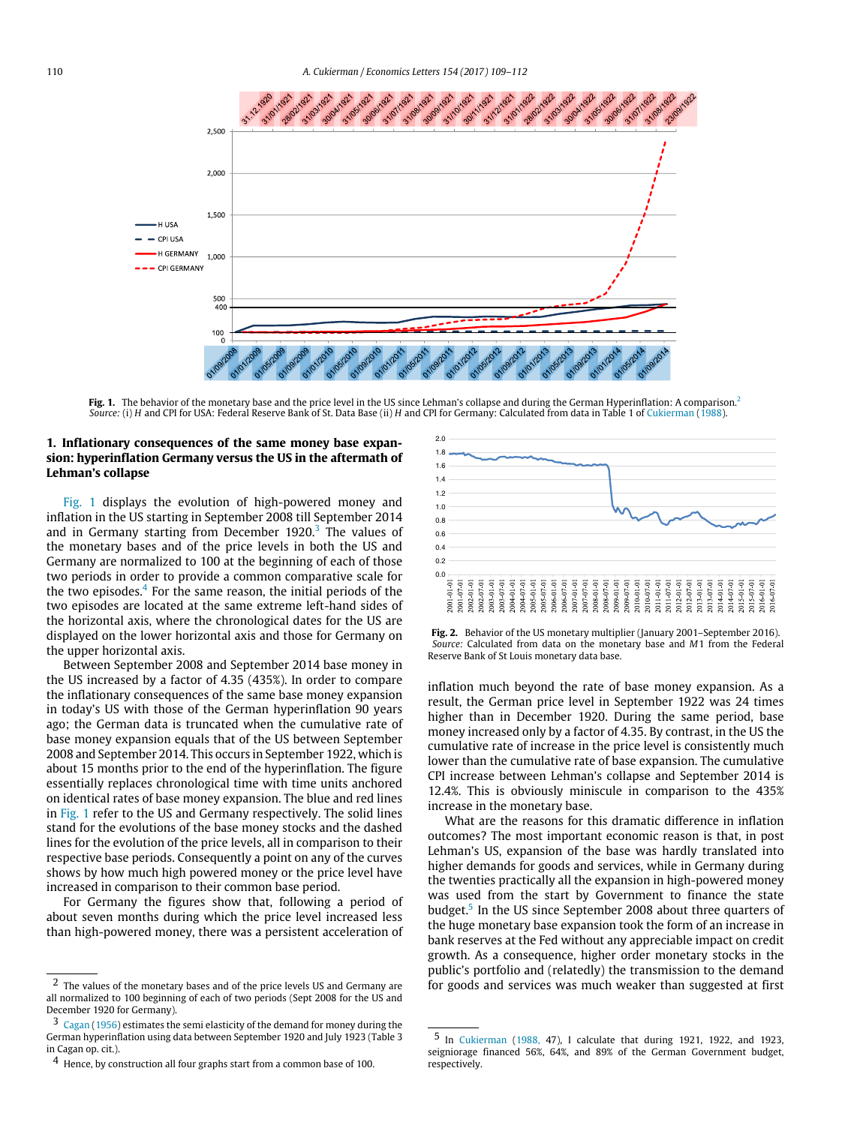<span id="page-1-0"></span>

**Fig. 1.** The behavior of the monetary base and the price level in the US since Lehman's collapse and during the German Hyperinflation: A comparison.<sup>[2](#page-0-1)</sup> *Source:* (i) *H* and CPI for USA: Federal Reserve Bank of St. Data Base (ii) *H* and CPI for Germany: Calculated from data in Table 1 of [Cukierman](#page-3-2) [\(1988\)](#page-3-2).

## **1. Inflationary consequences of the same money base expansion: hyperinflation Germany versus the US in the aftermath of Lehman's collapse**

[Fig. 1](#page-1-0) displays the evolution of high-powered money and inflation in the US starting in September 2008 till September 2014 and in Germany starting from December 1920.<sup>[3](#page-1-1)</sup> The values of the monetary bases and of the price levels in both the US and Germany are normalized to 100 at the beginning of each of those two periods in order to provide a common comparative scale for the two episodes.<sup>[4](#page-1-2)</sup> For the same reason, the initial periods of the two episodes are located at the same extreme left-hand sides of the horizontal axis, where the chronological dates for the US are displayed on the lower horizontal axis and those for Germany on the upper horizontal axis.

Between September 2008 and September 2014 base money in the US increased by a factor of 4.35 (435%). In order to compare the inflationary consequences of the same base money expansion in today's US with those of the German hyperinflation 90 years ago; the German data is truncated when the cumulative rate of base money expansion equals that of the US between September 2008 and September 2014. This occurs in September 1922, which is about 15 months prior to the end of the hyperinflation. The figure essentially replaces chronological time with time units anchored on identical rates of base money expansion. The blue and red lines in [Fig. 1](#page-1-0) refer to the US and Germany respectively. The solid lines stand for the evolutions of the base money stocks and the dashed lines for the evolution of the price levels, all in comparison to their respective base periods. Consequently a point on any of the curves shows by how much high powered money or the price level have increased in comparison to their common base period.

For Germany the figures show that, following a period of about seven months during which the price level increased less than high-powered money, there was a persistent acceleration of

<span id="page-1-4"></span>



inflation much beyond the rate of base money expansion. As a result, the German price level in September 1922 was 24 times higher than in December 1920. During the same period, base money increased only by a factor of 4.35. By contrast, in the US the cumulative rate of increase in the price level is consistently much lower than the cumulative rate of base expansion. The cumulative CPI increase between Lehman's collapse and September 2014 is 12.4%. This is obviously miniscule in comparison to the 435% increase in the monetary base.

What are the reasons for this dramatic difference in inflation outcomes? The most important economic reason is that, in post Lehman's US, expansion of the base was hardly translated into higher demands for goods and services, while in Germany during the twenties practically all the expansion in high-powered money was used from the start by Government to finance the state budget.<sup>[5](#page-1-3)</sup> In the US since September 2008 about three quarters of the huge monetary base expansion took the form of an increase in bank reserves at the Fed without any appreciable impact on credit growth. As a consequence, higher order monetary stocks in the public's portfolio and (relatedly) the transmission to the demand for goods and services was much weaker than suggested at first

<sup>2</sup> The values of the monetary bases and of the price levels US and Germany are all normalized to 100 beginning of each of two periods (Sept 2008 for the US and December 1920 for Germany).

<span id="page-1-1"></span><sup>3</sup> [Cagan](#page-3-1) [\(1956\)](#page-3-1) estimates the semi elasticity of the demand for money during the German hyperinflation using data between September 1920 and July 1923 (Table 3 in Cagan op. cit.).

<span id="page-1-2"></span><sup>4</sup> Hence, by construction all four graphs start from a common base of 100.

<span id="page-1-3"></span><sup>5</sup> In [Cukierman](#page-3-2) [\(1988,](#page-3-2) 47), I calculate that during 1921, 1922, and 1923, seigniorage financed 56%, 64%, and 89% of the German Government budget, respectively.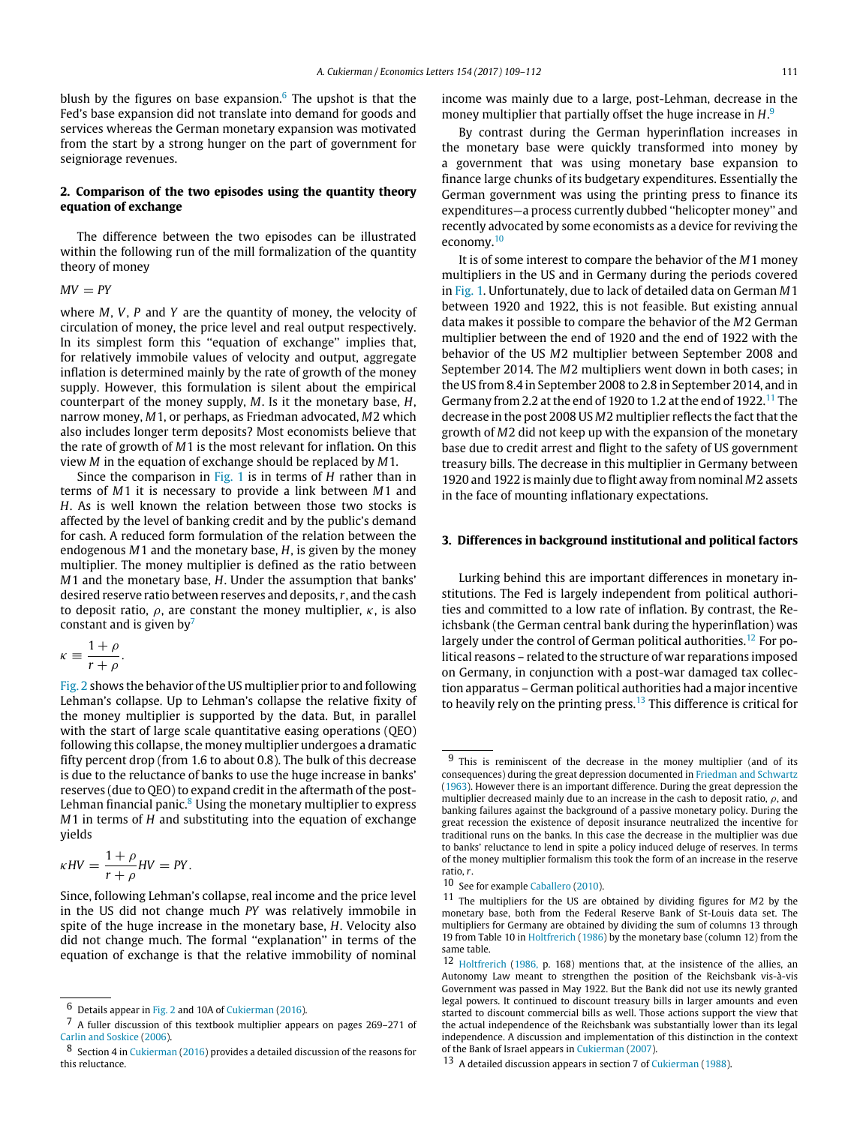blush by the figures on base expansion.<sup>[6](#page-2-0)</sup> The upshot is that the Fed's base expansion did not translate into demand for goods and services whereas the German monetary expansion was motivated from the start by a strong hunger on the part of government for seigniorage revenues.

## **2. Comparison of the two episodes using the quantity theory equation of exchange**

The difference between the two episodes can be illustrated within the following run of the mill formalization of the quantity theory of money

 $MV = PY$ 

where *M*, *V*, *P* and *Y* are the quantity of money, the velocity of circulation of money, the price level and real output respectively. In its simplest form this ''equation of exchange'' implies that, for relatively immobile values of velocity and output, aggregate inflation is determined mainly by the rate of growth of the money supply. However, this formulation is silent about the empirical counterpart of the money supply, *M*. Is it the monetary base, *H*, narrow money, *M*1, or perhaps, as Friedman advocated, *M*2 which also includes longer term deposits? Most economists believe that the rate of growth of *M*1 is the most relevant for inflation. On this view *M* in the equation of exchange should be replaced by *M*1.

Since the comparison in [Fig. 1](#page-1-0) is in terms of *H* rather than in terms of *M*1 it is necessary to provide a link between *M*1 and *H*. As is well known the relation between those two stocks is affected by the level of banking credit and by the public's demand for cash. A reduced form formulation of the relation between the endogenous *M*1 and the monetary base, *H*, is given by the money multiplier. The money multiplier is defined as the ratio between *M*1 and the monetary base, *H*. Under the assumption that banks' desired reserve ratio between reserves and deposits,*r*, and the cash to deposit ratio,  $\rho$ , are constant the money multiplier,  $\kappa$ , is also constant and is given by $\frac{7}{2}$  $\frac{7}{2}$  $\frac{7}{2}$ 

$$
\kappa \equiv \frac{1+\rho}{r+\rho}.
$$

[Fig. 2](#page-1-4) shows the behavior of the US multiplier prior to and following Lehman's collapse. Up to Lehman's collapse the relative fixity of the money multiplier is supported by the data. But, in parallel with the start of large scale quantitative easing operations (QEO) following this collapse, the money multiplier undergoes a dramatic fifty percent drop (from 1.6 to about 0.8). The bulk of this decrease is due to the reluctance of banks to use the huge increase in banks' reserves (due to QEO) to expand credit in the aftermath of the post-Lehman financial panic.<sup>[8](#page-2-2)</sup> Using the monetary multiplier to express *M*1 in terms of *H* and substituting into the equation of exchange yields

$$
\kappa HV = \frac{1+\rho}{r+\rho}HV = PY.
$$

Since, following Lehman's collapse, real income and the price level in the US did not change much *PY* was relatively immobile in spite of the huge increase in the monetary base, *H*. Velocity also did not change much. The formal "explanation" in terms of the equation of exchange is that the relative immobility of nominal

income was mainly due to a large, post-Lehman, decrease in the money multiplier that partially offset the huge increase in *H*. [9](#page-2-3)

By contrast during the German hyperinflation increases in the monetary base were quickly transformed into money by a government that was using monetary base expansion to finance large chunks of its budgetary expenditures. Essentially the German government was using the printing press to finance its expenditures—a process currently dubbed ''helicopter money'' and recently advocated by some economists as a device for reviving the economy.<sup>[10](#page-2-4)</sup>

It is of some interest to compare the behavior of the *M*1 money multipliers in the US and in Germany during the periods covered in [Fig. 1.](#page-1-0) Unfortunately, due to lack of detailed data on German *M*1 between 1920 and 1922, this is not feasible. But existing annual data makes it possible to compare the behavior of the *M*2 German multiplier between the end of 1920 and the end of 1922 with the behavior of the US *M*2 multiplier between September 2008 and September 2014. The *M*2 multipliers went down in both cases; in the US from 8.4 in September 2008 to 2.8 in September 2014, and in Germany from 2.2 at the end of 1920 to 1.2 at the end of 1922.<sup>[11](#page-2-5)</sup> The decrease in the post 2008 US *M*2 multiplier reflects the fact that the growth of *M*2 did not keep up with the expansion of the monetary base due to credit arrest and flight to the safety of US government treasury bills. The decrease in this multiplier in Germany between 1920 and 1922 is mainly due to flight away from nominal *M*2 assets in the face of mounting inflationary expectations.

## **3. Differences in background institutional and political factors**

Lurking behind this are important differences in monetary institutions. The Fed is largely independent from political authorities and committed to a low rate of inflation. By contrast, the Reichsbank (the German central bank during the hyperinflation) was largely under the control of German political authorities.<sup>[12](#page-2-6)</sup> For political reasons – related to the structure of war reparations imposed on Germany, in conjunction with a post-war damaged tax collection apparatus – German political authorities had a major incentive to heavily rely on the printing press.[13](#page-2-7) This difference is critical for

<span id="page-2-0"></span><sup>6</sup> Details appear in [Fig. 2](#page-1-4) and 10A of [Cukierman](#page-3-3) [\(2016\)](#page-3-3).

<span id="page-2-1"></span><sup>7</sup> A fuller discussion of this textbook multiplier appears on pages 269–271 of [Carlin](#page-3-4) [and](#page-3-4) [Soskice](#page-3-4) [\(2006\)](#page-3-4).

<span id="page-2-2"></span><sup>8</sup> Section 4 in [Cukierman](#page-3-3) [\(2016\)](#page-3-3) provides a detailed discussion of the reasons for this reluctance.

<span id="page-2-3"></span><sup>9</sup> This is reminiscent of the decrease in the money multiplier (and of its consequences) during the great depression documented in [Friedman](#page-3-5) [and](#page-3-5) [Schwartz](#page-3-5) [\(1963\)](#page-3-5). However there is an important difference. During the great depression the multiplier decreased mainly due to an increase in the cash to deposit ratio,  $\rho$ , and banking failures against the background of a passive monetary policy. During the great recession the existence of deposit insurance neutralized the incentive for traditional runs on the banks. In this case the decrease in the multiplier was due to banks' reluctance to lend in spite a policy induced deluge of reserves. In terms of the money multiplier formalism this took the form of an increase in the reserve ratio, *r*.

<span id="page-2-4"></span><sup>10</sup> See for example [Caballero](#page-3-6) [\(2010\)](#page-3-6).

<span id="page-2-5"></span><sup>11</sup> The multipliers for the US are obtained by dividing figures for *M*2 by the monetary base, both from the Federal Reserve Bank of St-Louis data set. The multipliers for Germany are obtained by dividing the sum of columns 13 through 19 from Table 10 in [Holtfrerich](#page-3-7) [\(1986\)](#page-3-7) by the monetary base (column 12) from the same table.

<span id="page-2-6"></span><sup>12</sup> [Holtfrerich](#page-3-7) [\(1986,](#page-3-7) p. 168) mentions that, at the insistence of the allies, an Autonomy Law meant to strengthen the position of the Reichsbank vis-à-vis Government was passed in May 1922. But the Bank did not use its newly granted legal powers. It continued to discount treasury bills in larger amounts and even started to discount commercial bills as well. Those actions support the view that the actual independence of the Reichsbank was substantially lower than its legal independence. A discussion and implementation of this distinction in the context of the Bank of Israel appears in [Cukierman](#page-3-8) [\(2007\)](#page-3-8).

<span id="page-2-7"></span><sup>13</sup> A detailed discussion appears in section 7 of [Cukierman](#page-3-2) [\(1988\)](#page-3-2).